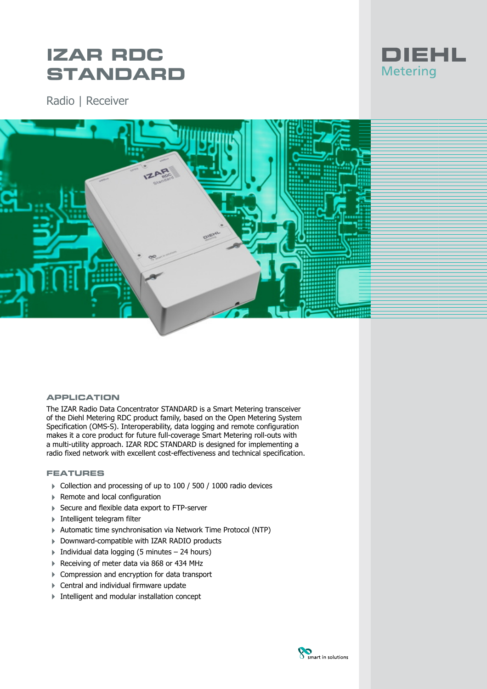# **IZAR RDC STANDARD**

Radio | Receiver



## **APPLICATION**

The IZAR Radio Data Concentrator STANDARD is a Smart Metering transceiver of the Diehl Metering RDC product family, based on the Open Metering System Specification (OMS-S). Interoperability, data logging and remote configuration makes it a core product for future full-coverage Smart Metering roll-outs with a multi-utility approach. IZAR RDC STANDARD is designed for implementing a radio fixed network with excellent cost-effectiveness and technical specification.

## **FEATURES**

- ▶ Collection and processing of up to 100 / 500 / 1000 radio devices
- ▶ Remote and local configuration
- ▶ Secure and flexible data export to FTP-server
- 4 Intelligent telegram filter
- 4 Automatic time synchronisation via Network Time Protocol (NTP)
- 4 Downward-compatible with IZAR RADIO products
- $\triangleright$  Individual data logging (5 minutes 24 hours)
- Receiving of meter data via 868 or 434 MHz
- ▶ Compression and encryption for data transport
- 4 Central and individual firmware update
- Intelligent and modular installation concept